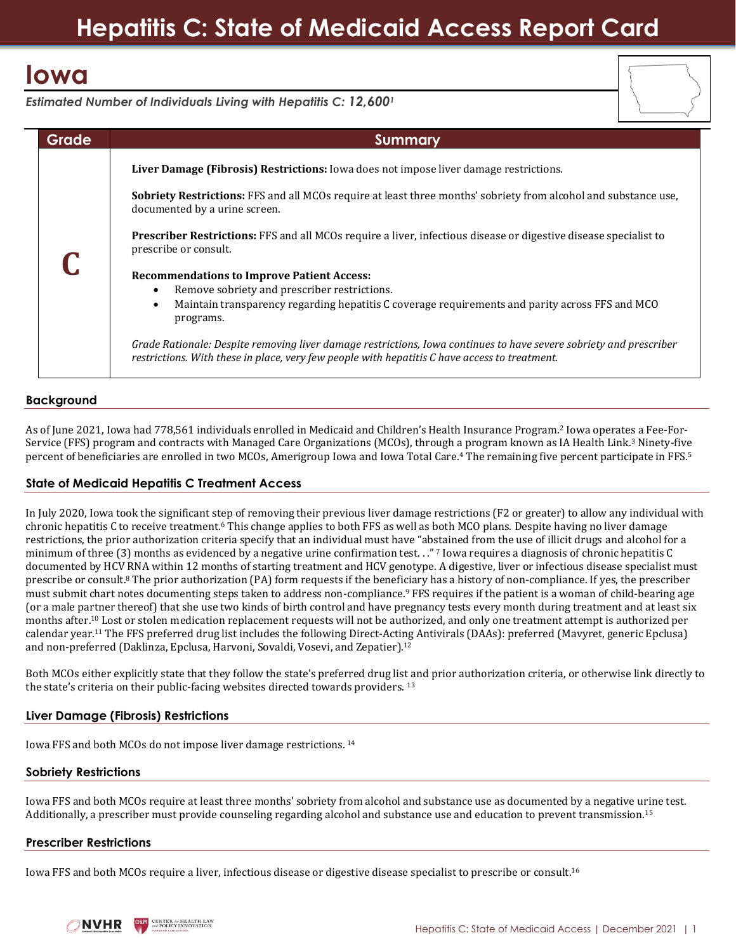# **Iowa**



*Estimated Number of Individuals Living with Hepatitis C: 12,600<sup>1</sup>*

| Grade | Summary                                                                                                                                                                                                                        |
|-------|--------------------------------------------------------------------------------------------------------------------------------------------------------------------------------------------------------------------------------|
|       | Liver Damage (Fibrosis) Restrictions: Iowa does not impose liver damage restrictions.                                                                                                                                          |
|       | <b>Sobriety Restrictions:</b> FFS and all MCOs require at least three months' sobriety from alcohol and substance use,<br>documented by a urine screen.                                                                        |
|       | <b>Prescriber Restrictions:</b> FFS and all MCOs require a liver, infectious disease or digestive disease specialist to<br>prescribe or consult.                                                                               |
|       | <b>Recommendations to Improve Patient Access:</b><br>Remove sobriety and prescriber restrictions.<br>Maintain transparency regarding hepatitis C coverage requirements and parity across FFS and MCO<br>$\bullet$<br>programs. |
|       | Grade Rationale: Despite removing liver damage restrictions, Iowa continues to have severe sobriety and prescriber<br>restrictions. With these in place, very few people with hepatitis C have access to treatment.            |

# **Background**

As of June 2021, Iowa had 778,561 individuals enrolled in Medicaid and Children's Health Insurance Program.<sup>2</sup> Iowa operates a Fee-For-Service (FFS) program and contracts with Managed Care Organizations (MCOs), through a program known as IA Health Link.<sup>3</sup> Ninety-five percent of beneficiaries are enrolled in two MCOs, Amerigroup Iowa and Iowa Total Care. <sup>4</sup> The remaining five percent participate in FFS.<sup>5</sup>

## **State of Medicaid Hepatitis C Treatment Access**

In July 2020, Iowa took the significant step of removing their previous liver damage restrictions (F2 or greater) to allow any individual with chronic hepatitis C to receive treatment.<sup>6</sup> This change applies to both FFS as well as both MCO plans. Despite having no liver damage restrictions, the prior authorization criteria specify that an individual must have "abstained from the use of illicit drugs and alcohol for a minimum of three (3) months as evidenced by a negative urine confirmation test. . "? Iowa requires a diagnosis of chronic hepatitis C documented by HCV RNA within 12 months of starting treatment and HCV genotype. A digestive, liver or infectious disease specialist must prescribe or consult.<sup>8</sup> The prior authorization (PA) form requests if the beneficiary has a history of non-compliance. If yes, the prescriber must submit chart notes documenting steps taken to address non-compliance.<sup>9</sup> FFS requires if the patient is a woman of child-bearing age (or a male partner thereof) that she use two kinds of birth control and have pregnancy tests every month during treatment and at least six months after. <sup>10</sup> Lost or stolen medication replacement requests will not be authorized, and only one treatment attempt is authorized per calendar year. <sup>11</sup> The FFS preferred drug list includes the following Direct-Acting Antivirals (DAAs): preferred (Mavyret, generic Epclusa) and non-preferred (Daklinza, Epclusa, Harvoni, Sovaldi, Vosevi, and Zepatier).<sup>12</sup>

Both MCOs either explicitly state that they follow the state's preferred drug list and prior authorization criteria, or otherwise link directly to the state's criteria on their public-facing websites directed towards providers. <sup>13</sup>

## **Liver Damage (Fibrosis) Restrictions**

Iowa FFS and both MCOs do not impose liver damage restrictions. <sup>14</sup>

## **Sobriety Restrictions**

Iowa FFS and both MCOs require at least three months' sobriety from alcohol and substance use as documented by a negative urine test. Additionally, a prescriber must provide counseling regarding alcohol and substance use and education to prevent transmission.<sup>15</sup>

## **Prescriber Restrictions**

Iowa FFS and both MCOs require a liver, infectious disease or digestive disease specialist to prescribe or consult.<sup>16</sup>

**ENTER for HEALTH LAV NVHR**